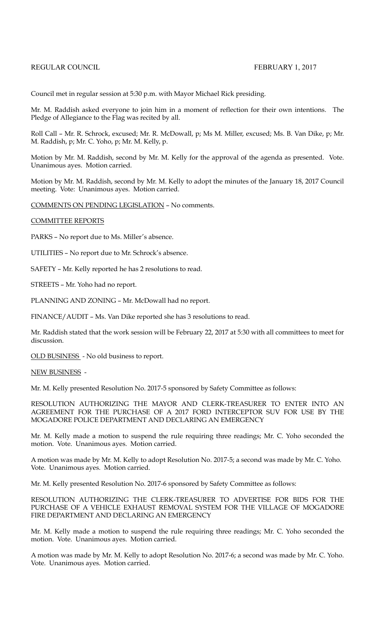## REGULAR COUNCIL FEBRUARY 1, 2017

Council met in regular session at 5:30 p.m. with Mayor Michael Rick presiding.

Mr. M. Raddish asked everyone to join him in a moment of reflection for their own intentions. The Pledge of Allegiance to the Flag was recited by all.

Roll Call – Mr. R. Schrock, excused; Mr. R. McDowall, p; Ms M. Miller, excused; Ms. B. Van Dike, p; Mr. M. Raddish, p; Mr. C. Yoho, p; Mr. M. Kelly, p.

Motion by Mr. M. Raddish, second by Mr. M. Kelly for the approval of the agenda as presented. Vote. Unanimous ayes. Motion carried.

Motion by Mr. M. Raddish, second by Mr. M. Kelly to adopt the minutes of the January 18, 2017 Council meeting. Vote: Unanimous ayes. Motion carried.

COMMENTS ON PENDING LEGISLATION – No comments.

COMMITTEE REPORTS

PARKS – No report due to Ms. Miller's absence.

UTILITIES – No report due to Mr. Schrock's absence.

SAFETY – Mr. Kelly reported he has 2 resolutions to read.

STREETS – Mr. Yoho had no report.

PLANNING AND ZONING – Mr. McDowall had no report.

FINANCE/AUDIT – Ms. Van Dike reported she has 3 resolutions to read.

Mr. Raddish stated that the work session will be February 22, 2017 at 5:30 with all committees to meet for discussion.

OLD BUSINESS - No old business to report.

## NEW BUSINESS -

Mr. M. Kelly presented Resolution No. 2017-5 sponsored by Safety Committee as follows:

RESOLUTION AUTHORIZING THE MAYOR AND CLERK-TREASURER TO ENTER INTO AN AGREEMENT FOR THE PURCHASE OF A 2017 FORD INTERCEPTOR SUV FOR USE BY THE MOGADORE POLICE DEPARTMENT AND DECLARING AN EMERGENCY

Mr. M. Kelly made a motion to suspend the rule requiring three readings; Mr. C. Yoho seconded the motion. Vote. Unanimous ayes. Motion carried.

A motion was made by Mr. M. Kelly to adopt Resolution No. 2017-5; a second was made by Mr. C. Yoho. Vote. Unanimous ayes. Motion carried.

Mr. M. Kelly presented Resolution No. 2017-6 sponsored by Safety Committee as follows:

RESOLUTION AUTHORIZING THE CLERK-TREASURER TO ADVERTISE FOR BIDS FOR THE PURCHASE OF A VEHICLE EXHAUST REMOVAL SYSTEM FOR THE VILLAGE OF MOGADORE FIRE DEPARTMENT AND DECLARING AN EMERGENCY

Mr. M. Kelly made a motion to suspend the rule requiring three readings; Mr. C. Yoho seconded the motion. Vote. Unanimous ayes. Motion carried.

A motion was made by Mr. M. Kelly to adopt Resolution No. 2017-6; a second was made by Mr. C. Yoho. Vote. Unanimous ayes. Motion carried.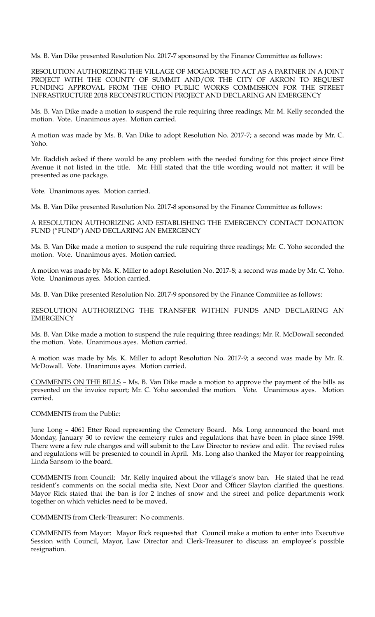Ms. B. Van Dike presented Resolution No. 2017-7 sponsored by the Finance Committee as follows:

RESOLUTION AUTHORIZING THE VILLAGE OF MOGADORE TO ACT AS A PARTNER IN A JOINT PROJECT WITH THE COUNTY OF SUMMIT AND/OR THE CITY OF AKRON TO REQUEST FUNDING APPROVAL FROM THE OHIO PUBLIC WORKS COMMISSION FOR THE STREET INFRASTRUCTURE 2018 RECONSTRUCTION PROJECT AND DECLARING AN EMERGENCY

Ms. B. Van Dike made a motion to suspend the rule requiring three readings; Mr. M. Kelly seconded the motion. Vote. Unanimous ayes. Motion carried.

A motion was made by Ms. B. Van Dike to adopt Resolution No. 2017-7; a second was made by Mr. C. Yoho.

Mr. Raddish asked if there would be any problem with the needed funding for this project since First Avenue it not listed in the title. Mr. Hill stated that the title wording would not matter; it will be presented as one package.

Vote. Unanimous ayes. Motion carried.

Ms. B. Van Dike presented Resolution No. 2017-8 sponsored by the Finance Committee as follows:

A RESOLUTION AUTHORIZING AND ESTABLISHING THE EMERGENCY CONTACT DONATION FUND ("FUND") AND DECLARING AN EMERGENCY

Ms. B. Van Dike made a motion to suspend the rule requiring three readings; Mr. C. Yoho seconded the motion. Vote. Unanimous ayes. Motion carried.

A motion was made by Ms. K. Miller to adopt Resolution No. 2017-8; a second was made by Mr. C. Yoho. Vote. Unanimous ayes. Motion carried.

Ms. B. Van Dike presented Resolution No. 2017-9 sponsored by the Finance Committee as follows:

RESOLUTION AUTHORIZING THE TRANSFER WITHIN FUNDS AND DECLARING AN **EMERGENCY** 

Ms. B. Van Dike made a motion to suspend the rule requiring three readings; Mr. R. McDowall seconded the motion. Vote. Unanimous ayes. Motion carried.

A motion was made by Ms. K. Miller to adopt Resolution No. 2017-9; a second was made by Mr. R. McDowall. Vote. Unanimous ayes. Motion carried.

COMMENTS ON THE BILLS – Ms. B. Van Dike made a motion to approve the payment of the bills as presented on the invoice report; Mr. C. Yoho seconded the motion. Vote. Unanimous ayes. Motion carried.

COMMENTS from the Public:

June Long – 4061 Etter Road representing the Cemetery Board. Ms. Long announced the board met Monday, January 30 to review the cemetery rules and regulations that have been in place since 1998. There were a few rule changes and will submit to the Law Director to review and edit. The revised rules and regulations will be presented to council in April. Ms. Long also thanked the Mayor for reappointing Linda Sansom to the board.

COMMENTS from Council: Mr. Kelly inquired about the village's snow ban. He stated that he read resident's comments on the social media site, Next Door and Officer Slayton clarified the questions. Mayor Rick stated that the ban is for 2 inches of snow and the street and police departments work together on which vehicles need to be moved.

COMMENTS from Clerk-Treasurer: No comments.

COMMENTS from Mayor: Mayor Rick requested that Council make a motion to enter into Executive Session with Council, Mayor, Law Director and Clerk-Treasurer to discuss an employee's possible resignation.